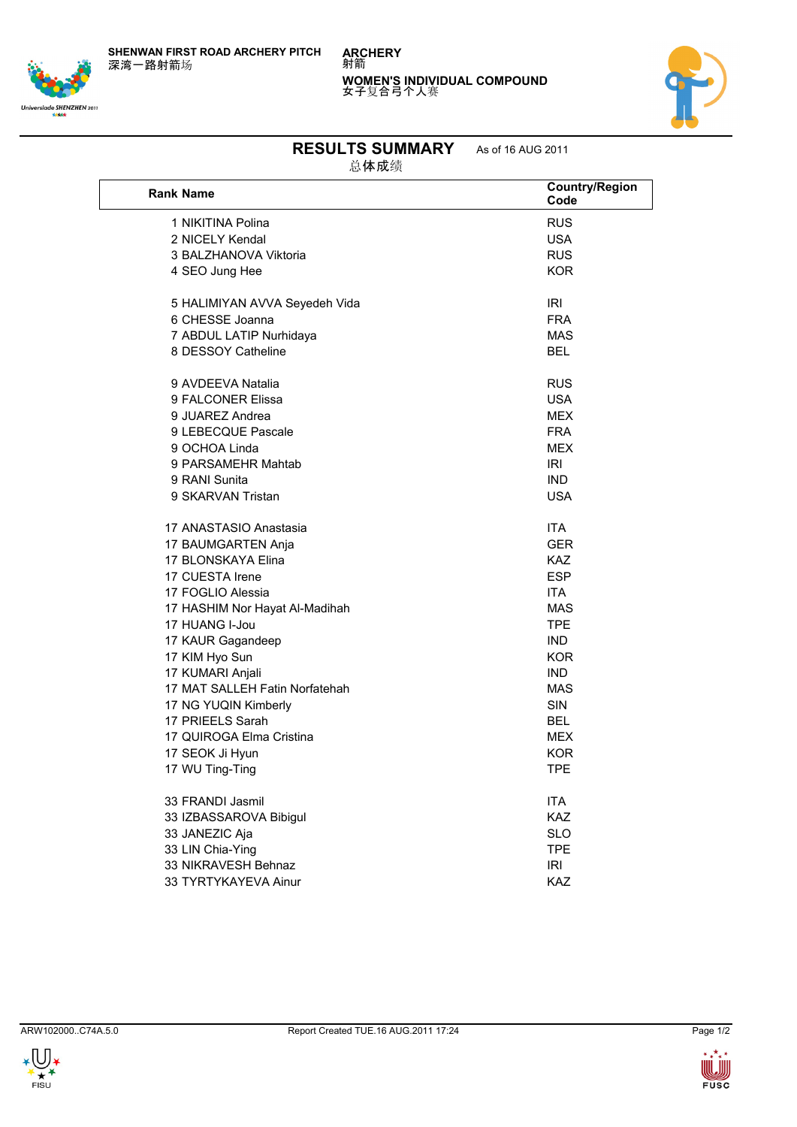**SHENWAN FIRST ROAD ARCHERY PITCH** 深湾一路射箭场







## **RESULTS SUMMARY** As of 16 AUG 2011

总体成绩

| <b>Rank Name</b>               | <b>Country/Region</b><br>Code |
|--------------------------------|-------------------------------|
| 1 NIKITINA Polina              | <b>RUS</b>                    |
| 2 NICELY Kendal                | <b>USA</b>                    |
| 3 BALZHANOVA Viktoria          | <b>RUS</b>                    |
| 4 SEO Jung Hee                 | <b>KOR</b>                    |
|                                |                               |
| 5 HALIMIYAN AVVA Seyedeh Vida  | IRI                           |
| 6 CHESSE Joanna                | <b>FRA</b>                    |
| 7 ABDUL LATIP Nurhidaya        | <b>MAS</b>                    |
| 8 DESSOY Catheline             | <b>BEL</b>                    |
| 9 AVDEEVA Natalia              | <b>RUS</b>                    |
| 9 FALCONER Elissa              | <b>USA</b>                    |
| 9 JUAREZ Andrea                | <b>MEX</b>                    |
| 9 LEBECQUE Pascale             | <b>FRA</b>                    |
| 9 OCHOA Linda                  | <b>MEX</b>                    |
| 9 PARSAMEHR Mahtab             | IRI                           |
| 9 RANI Sunita                  | <b>IND</b>                    |
| 9 SKARVAN Tristan              | <b>USA</b>                    |
| 17 ANASTASIO Anastasia         | <b>ITA</b>                    |
| 17 BAUMGARTEN Anja             | <b>GER</b>                    |
| 17 BLONSKAYA Elina             | <b>KAZ</b>                    |
| 17 CUESTA Irene                | <b>ESP</b>                    |
| 17 FOGLIO Alessia              | <b>ITA</b>                    |
| 17 HASHIM Nor Hayat Al-Madihah | <b>MAS</b>                    |
| 17 HUANG I-Jou                 | <b>TPE</b>                    |
| 17 KAUR Gagandeep              | <b>IND</b>                    |
| 17 KIM Hyo Sun                 | <b>KOR</b>                    |
| 17 KUMARI Anjali               | <b>IND</b>                    |
| 17 MAT SALLEH Fatin Norfatehah | <b>MAS</b>                    |
| 17 NG YUQIN Kimberly           | <b>SIN</b>                    |
| 17 PRIEELS Sarah               | <b>BEL</b>                    |
| 17 QUIROGA Elma Cristina       | <b>MEX</b>                    |
| 17 SEOK Ji Hyun                | KOR                           |
| 17 WU Ting-Ting                | <b>TPE</b>                    |
| 33 FRANDI Jasmil               | ITA                           |
| 33 IZBASSAROVA Bibigul         | <b>KAZ</b>                    |
| 33 JANEZIC Aja                 | <b>SLO</b>                    |
| 33 LIN Chia-Ying               | <b>TPE</b>                    |
| 33 NIKRAVESH Behnaz            | <b>IRI</b>                    |
| 33 TYRTYKAYEVA Ainur           | <b>KAZ</b>                    |
|                                |                               |